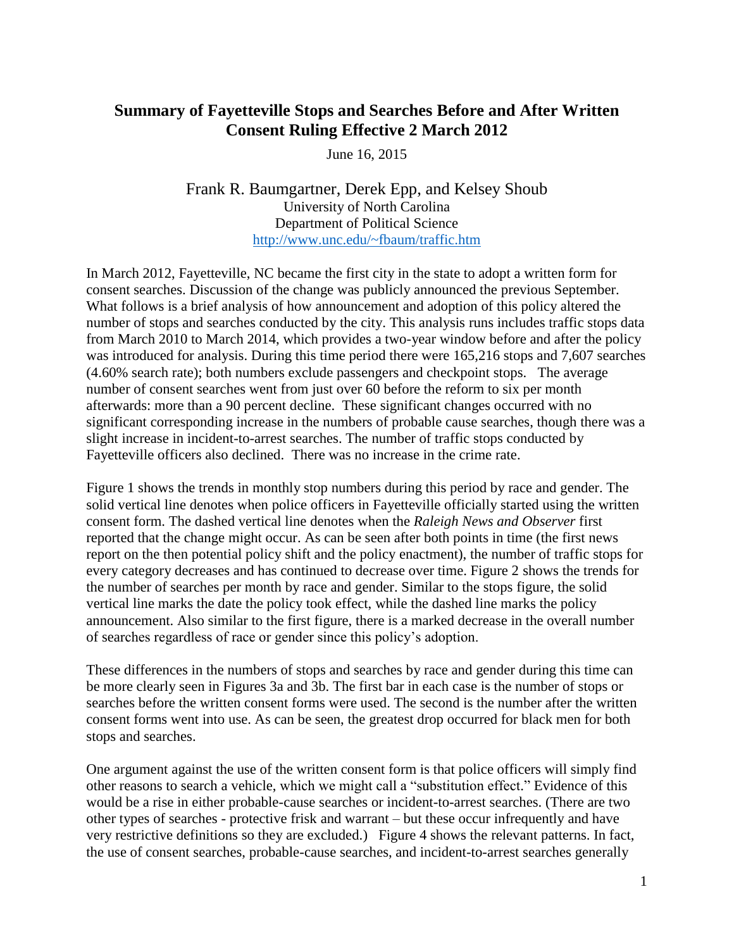## **Summary of Fayetteville Stops and Searches Before and After Written Consent Ruling Effective 2 March 2012**

June 16, 2015

Frank R. Baumgartner, Derek Epp, and Kelsey Shoub University of North Carolina Department of Political Science <http://www.unc.edu/~fbaum/traffic.htm>

In March 2012, Fayetteville, NC became the first city in the state to adopt a written form for consent searches. Discussion of the change was publicly announced the previous September. What follows is a brief analysis of how announcement and adoption of this policy altered the number of stops and searches conducted by the city. This analysis runs includes traffic stops data from March 2010 to March 2014, which provides a two-year window before and after the policy was introduced for analysis. During this time period there were 165,216 stops and 7,607 searches (4.60% search rate); both numbers exclude passengers and checkpoint stops. The average number of consent searches went from just over 60 before the reform to six per month afterwards: more than a 90 percent decline. These significant changes occurred with no significant corresponding increase in the numbers of probable cause searches, though there was a slight increase in incident-to-arrest searches. The number of traffic stops conducted by Fayetteville officers also declined. There was no increase in the crime rate.

Figure 1 shows the trends in monthly stop numbers during this period by race and gender. The solid vertical line denotes when police officers in Fayetteville officially started using the written consent form. The dashed vertical line denotes when the *Raleigh News and Observer* first reported that the change might occur. As can be seen after both points in time (the first news report on the then potential policy shift and the policy enactment), the number of traffic stops for every category decreases and has continued to decrease over time. Figure 2 shows the trends for the number of searches per month by race and gender. Similar to the stops figure, the solid vertical line marks the date the policy took effect, while the dashed line marks the policy announcement. Also similar to the first figure, there is a marked decrease in the overall number of searches regardless of race or gender since this policy's adoption.

These differences in the numbers of stops and searches by race and gender during this time can be more clearly seen in Figures 3a and 3b. The first bar in each case is the number of stops or searches before the written consent forms were used. The second is the number after the written consent forms went into use. As can be seen, the greatest drop occurred for black men for both stops and searches.

One argument against the use of the written consent form is that police officers will simply find other reasons to search a vehicle, which we might call a "substitution effect." Evidence of this would be a rise in either probable-cause searches or incident-to-arrest searches. (There are two other types of searches - protective frisk and warrant – but these occur infrequently and have very restrictive definitions so they are excluded.) Figure 4 shows the relevant patterns. In fact, the use of consent searches, probable-cause searches, and incident-to-arrest searches generally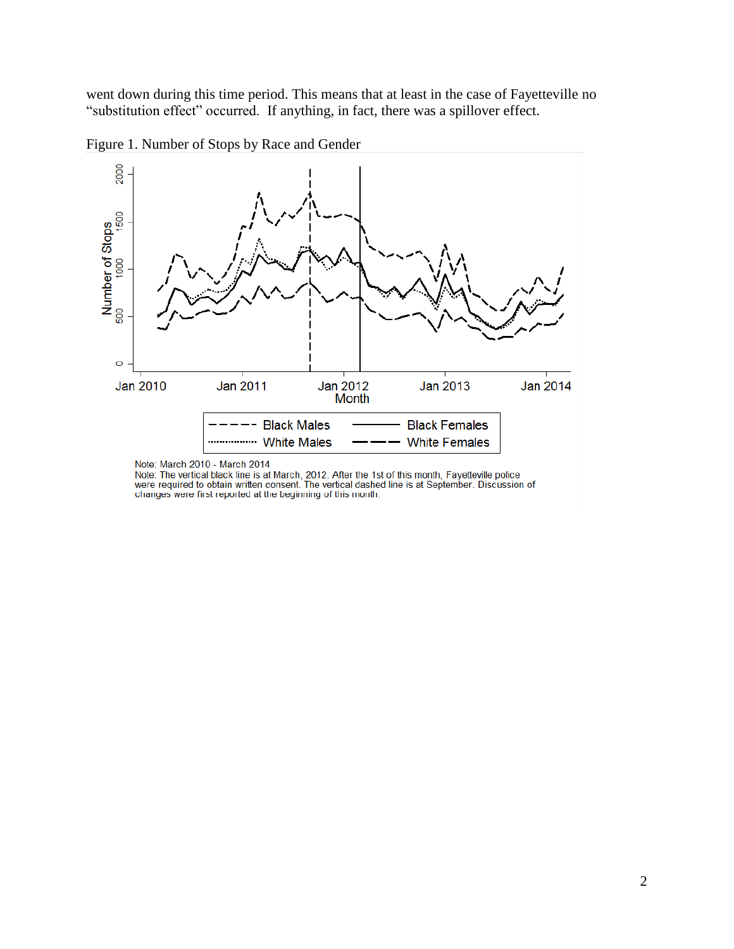went down during this time period. This means that at least in the case of Fayetteville no "substitution effect" occurred. If anything, in fact, there was a spillover effect.





Note: March 2010 - March 2014

Note: The vertical black line is at March, 2012. After the 1st of this month, Fayetteville police<br>were required to obtain written consent. The vertical dashed line is at September. Discussion of changes were first reported at the beginning of this month.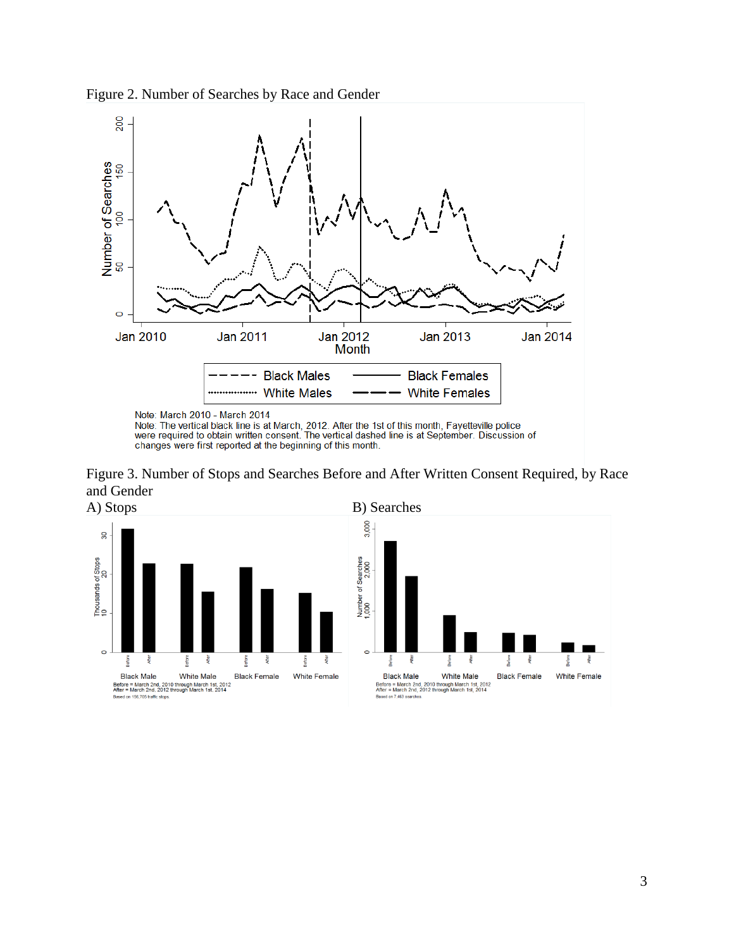



Note: The vertical black line is at March, 2012. After the 1st of this month, Fayetteville police<br>were required to obtain written consent. The vertical dashed line is at September. Discussion of<br>changes were first reported

Figure 3. Number of Stops and Searches Before and After Written Consent Required, by Race and Gender



**Befor** 

**White Female**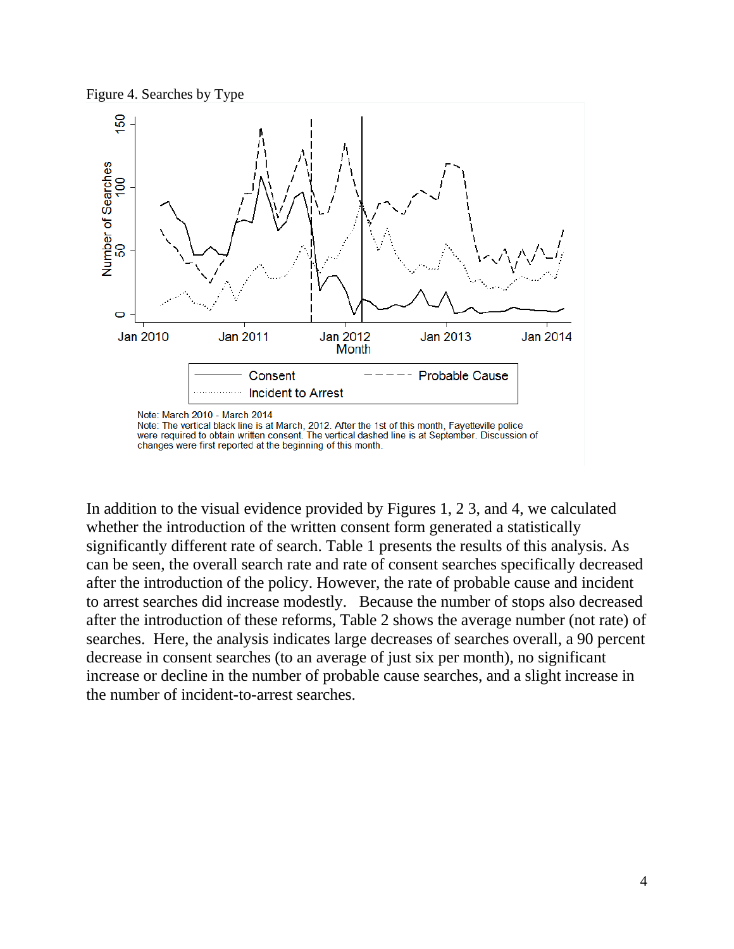



In addition to the visual evidence provided by Figures 1, 2 3, and 4, we calculated whether the introduction of the written consent form generated a statistically significantly different rate of search. Table 1 presents the results of this analysis. As can be seen, the overall search rate and rate of consent searches specifically decreased after the introduction of the policy. However, the rate of probable cause and incident to arrest searches did increase modestly. Because the number of stops also decreased after the introduction of these reforms, Table 2 shows the average number (not rate) of searches. Here, the analysis indicates large decreases of searches overall, a 90 percent decrease in consent searches (to an average of just six per month), no significant increase or decline in the number of probable cause searches, and a slight increase in the number of incident-to-arrest searches.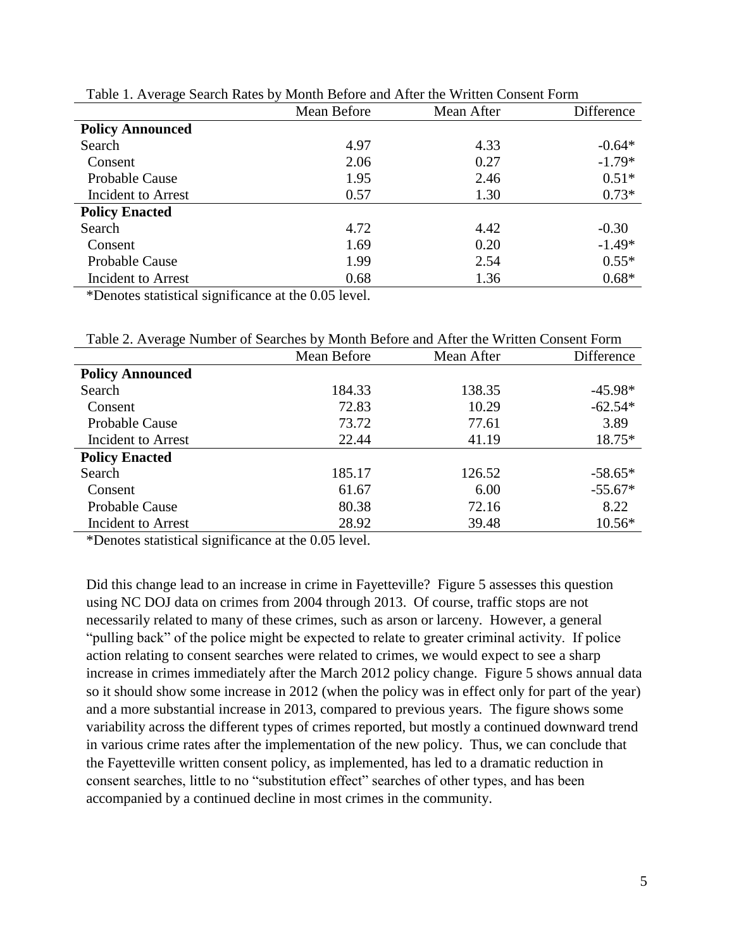| Tuble 1. Tryenge bearen Kates by Month Derole and Tried the Williem Consent I offici |             |            |            |  |
|--------------------------------------------------------------------------------------|-------------|------------|------------|--|
|                                                                                      | Mean Before | Mean After | Difference |  |
| <b>Policy Announced</b>                                                              |             |            |            |  |
| Search                                                                               | 4.97        | 4.33       | $-0.64*$   |  |
| Consent                                                                              | 2.06        | 0.27       | $-1.79*$   |  |
| Probable Cause                                                                       | 1.95        | 2.46       | $0.51*$    |  |
| Incident to Arrest                                                                   | 0.57        | 1.30       | $0.73*$    |  |
| <b>Policy Enacted</b>                                                                |             |            |            |  |
| Search                                                                               | 4.72        | 4.42       | $-0.30$    |  |
| Consent                                                                              | 1.69        | 0.20       | $-1.49*$   |  |
| Probable Cause                                                                       | 1.99        | 2.54       | $0.55*$    |  |
| Incident to Arrest                                                                   | 0.68        | 1.36       | $0.68*$    |  |
|                                                                                      |             |            |            |  |

Table 1. Average Search Rates by Month Before and After the Written Consent Form

\*Denotes statistical significance at the 0.05 level.

|                         | Mean Before | Mean After | Difference |
|-------------------------|-------------|------------|------------|
| <b>Policy Announced</b> |             |            |            |
| Search                  | 184.33      | 138.35     | $-45.98*$  |
| Consent                 | 72.83       | 10.29      | $-62.54*$  |
| <b>Probable Cause</b>   | 73.72       | 77.61      | 3.89       |
| Incident to Arrest      | 22.44       | 41.19      | 18.75*     |
| <b>Policy Enacted</b>   |             |            |            |
| Search                  | 185.17      | 126.52     | $-58.65*$  |
| Consent                 | 61.67       | 6.00       | $-55.67*$  |
| Probable Cause          | 80.38       | 72.16      | 8.22       |
| Incident to Arrest      | 28.92       | 39.48      | $10.56*$   |

Table 2. Average Number of Searches by Month Before and After the Written Consent Form

\*Denotes statistical significance at the 0.05 level.

Did this change lead to an increase in crime in Fayetteville? Figure 5 assesses this question using NC DOJ data on crimes from 2004 through 2013. Of course, traffic stops are not necessarily related to many of these crimes, such as arson or larceny. However, a general "pulling back" of the police might be expected to relate to greater criminal activity. If police action relating to consent searches were related to crimes, we would expect to see a sharp increase in crimes immediately after the March 2012 policy change. Figure 5 shows annual data so it should show some increase in 2012 (when the policy was in effect only for part of the year) and a more substantial increase in 2013, compared to previous years. The figure shows some variability across the different types of crimes reported, but mostly a continued downward trend in various crime rates after the implementation of the new policy. Thus, we can conclude that the Fayetteville written consent policy, as implemented, has led to a dramatic reduction in consent searches, little to no "substitution effect" searches of other types, and has been accompanied by a continued decline in most crimes in the community.